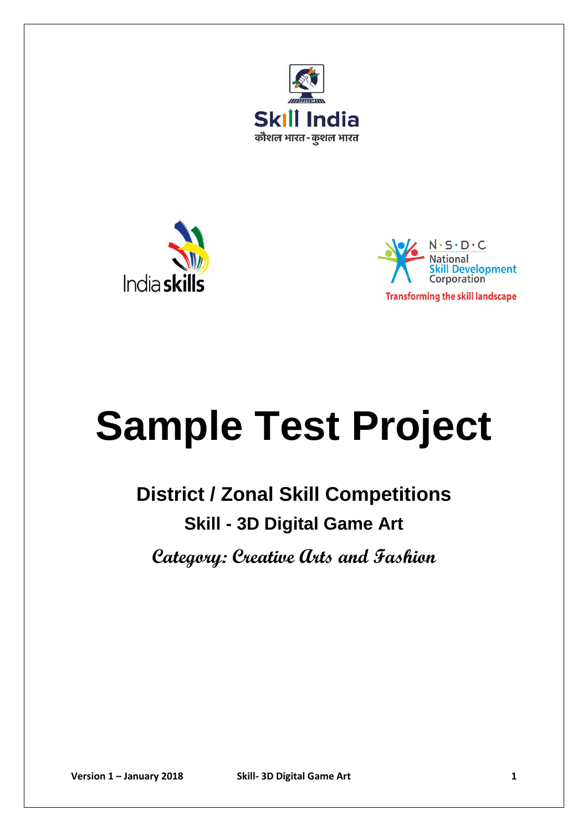





# **Sample Test Project**

## **District / Zonal Skill Competitions Skill - 3D Digital Game Art**

**Category: Creative Arts and Fashion**

**Version 1 – January 2018 Skill- 3D Digital Game Art 1**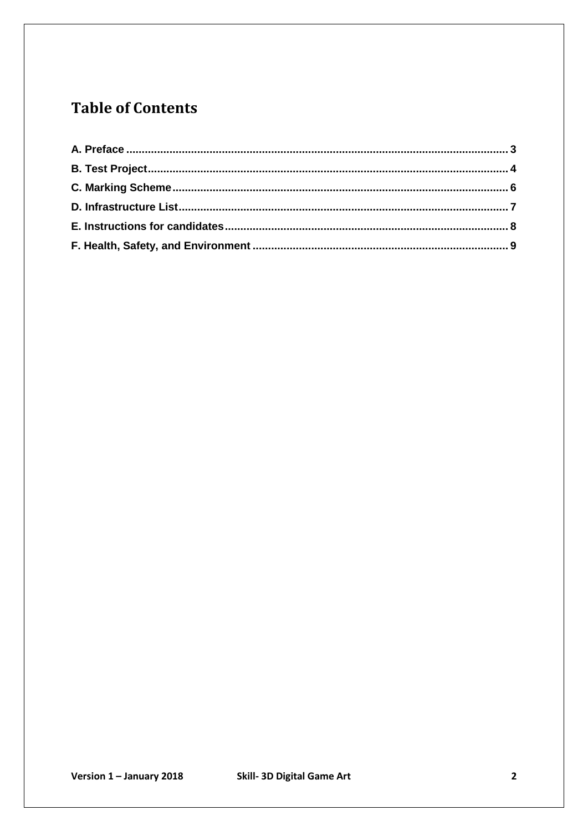## **Table of Contents**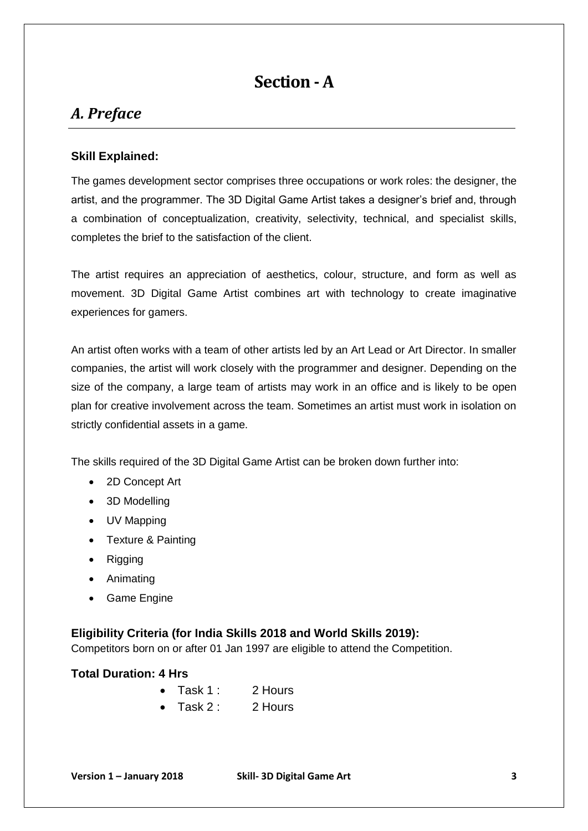## **Section -A**

### <span id="page-2-0"></span>*A. Preface*

#### **Skill Explained:**

The games development sector comprises three occupations or work roles: the designer, the artist, and the programmer. The 3D Digital Game Artist takes a designer's brief and, through a combination of conceptualization, creativity, selectivity, technical, and specialist skills, completes the brief to the satisfaction of the client.

The artist requires an appreciation of aesthetics, colour, structure, and form as well as movement. 3D Digital Game Artist combines art with technology to create imaginative experiences for gamers.

An artist often works with a team of other artists led by an Art Lead or Art Director. In smaller companies, the artist will work closely with the programmer and designer. Depending on the size of the company, a large team of artists may work in an office and is likely to be open plan for creative involvement across the team. Sometimes an artist must work in isolation on strictly confidential assets in a game.

The skills required of the 3D Digital Game Artist can be broken down further into:

- 2D Concept Art
- 3D Modelling
- UV Mapping
- Texture & Painting
- Rigging
- Animating
- Game Engine

#### **Eligibility Criteria (for India Skills 2018 and World Skills 2019):**

Competitors born on or after 01 Jan 1997 are eligible to attend the Competition.

#### **Total Duration: 4 Hrs**

| 2 Hours |
|---------|
|         |

Task 2 : 2 Hours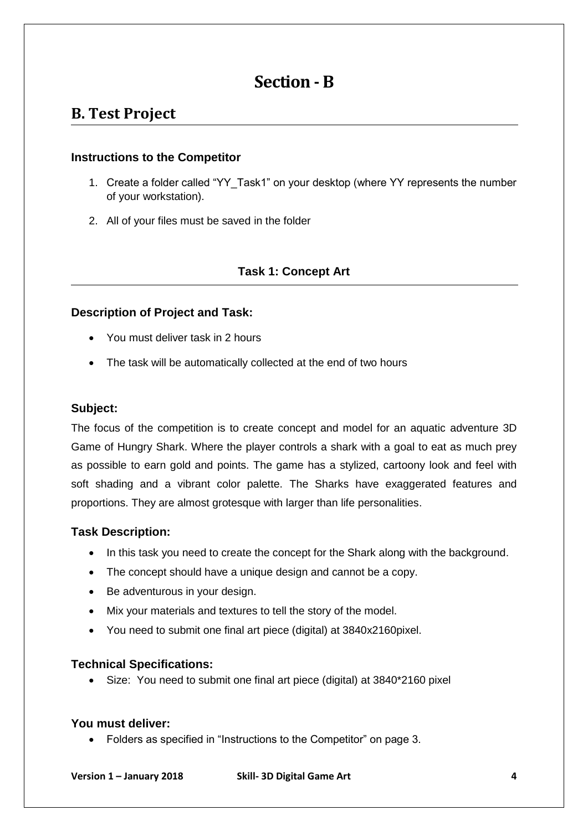## **Section - B**

## <span id="page-3-0"></span>**B. Test Project**

#### **Instructions to the Competitor**

- 1. Create a folder called "YY\_Task1" on your desktop (where YY represents the number of your workstation).
- 2. All of your files must be saved in the folder

#### **Task 1: Concept Art**

#### **Description of Project and Task:**

- You must deliver task in 2 hours
- The task will be automatically collected at the end of two hours

#### **Subject:**

The focus of the competition is to create concept and model for an aquatic adventure 3D Game of Hungry Shark. Where the player controls a shark with a goal to eat as much prey as possible to earn gold and points. The game has a stylized, cartoony look and feel with soft shading and a vibrant color palette. The Sharks have exaggerated features and proportions. They are almost grotesque with larger than life personalities.

#### **Task Description:**

- In this task you need to create the concept for the Shark along with the background.
- The concept should have a unique design and cannot be a copy.
- Be adventurous in your design.
- Mix your materials and textures to tell the story of the model.
- You need to submit one final art piece (digital) at 3840x2160pixel.

#### **Technical Specifications:**

Size: You need to submit one final art piece (digital) at 3840\*2160 pixel

#### **You must deliver:**

Folders as specified in "Instructions to the Competitor" on page 3.

**Version 1 – January 2018 Skill- 3D Digital Game Art 4**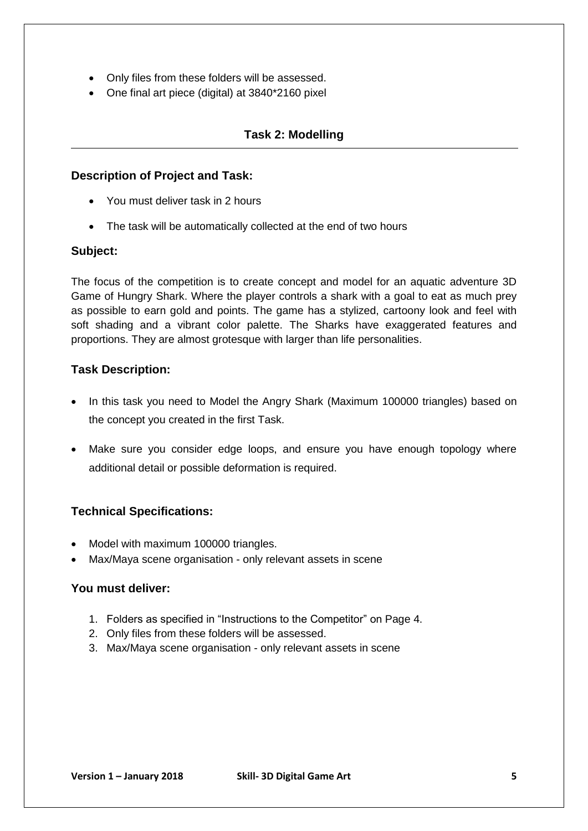- Only files from these folders will be assessed.
- One final art piece (digital) at 3840\*2160 pixel

#### **Task 2: Modelling**

#### **Description of Project and Task:**

- You must deliver task in 2 hours
- The task will be automatically collected at the end of two hours

#### **Subject:**

The focus of the competition is to create concept and model for an aquatic adventure 3D Game of Hungry Shark. Where the player controls a shark with a goal to eat as much prey as possible to earn gold and points. The game has a stylized, cartoony look and feel with soft shading and a vibrant color palette. The Sharks have exaggerated features and proportions. They are almost grotesque with larger than life personalities.

#### **Task Description:**

- In this task you need to Model the Angry Shark (Maximum 100000 triangles) based on the concept you created in the first Task.
- Make sure you consider edge loops, and ensure you have enough topology where additional detail or possible deformation is required.

#### **Technical Specifications:**

- Model with maximum 100000 triangles.
- Max/Maya scene organisation only relevant assets in scene

#### **You must deliver:**

- 1. Folders as specified in "Instructions to the Competitor" on Page 4.
- 2. Only files from these folders will be assessed.
- 3. Max/Maya scene organisation only relevant assets in scene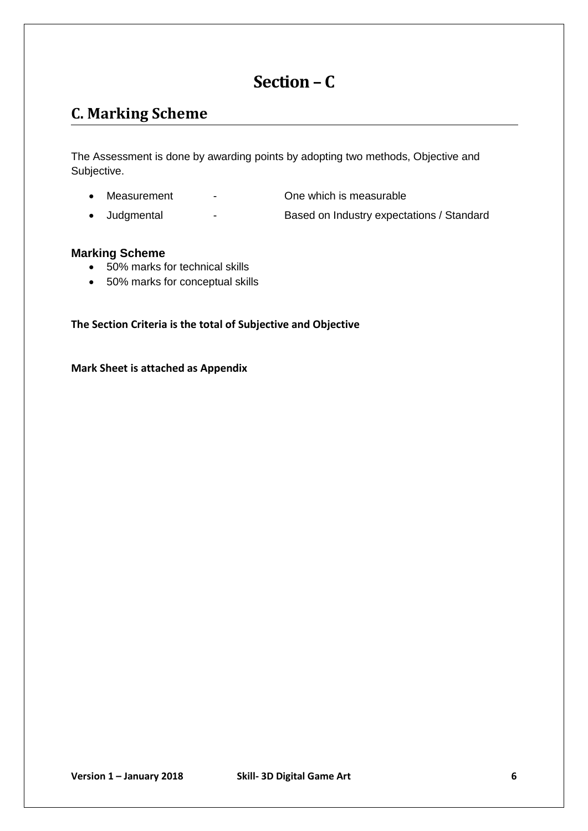## **Section – C**

## <span id="page-5-0"></span>**C. Marking Scheme**

The Assessment is done by awarding points by adopting two methods, Objective and Subjective.

- Measurement Che which is measurable
	-
- Judgmental Based on Industry expectations / Standard

#### **Marking Scheme**

- 50% marks for technical skills
- 50% marks for conceptual skills

**The Section Criteria is the total of Subjective and Objective** 

**Mark Sheet is attached as Appendix**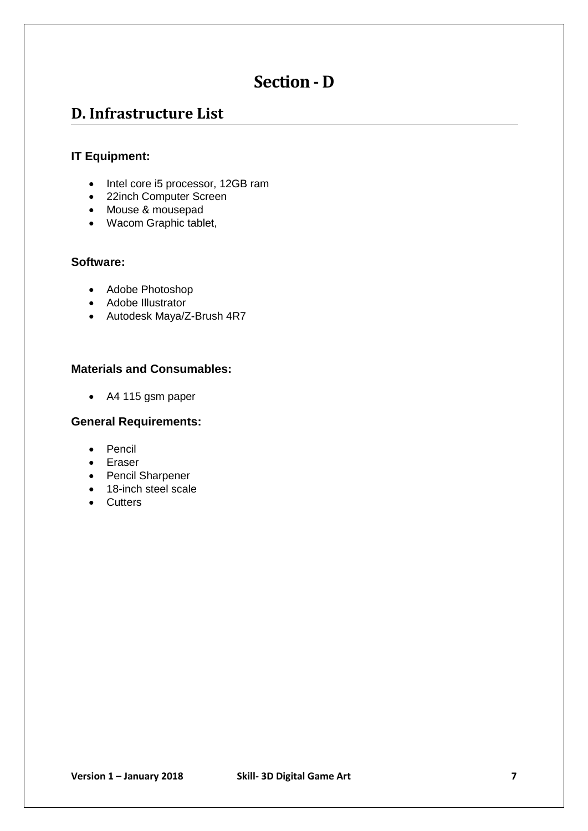## **Section - D**

## <span id="page-6-0"></span>**D. Infrastructure List**

#### **IT Equipment:**

- Intel core i5 processor, 12GB ram
- 22inch Computer Screen
- Mouse & mousepad
- Wacom Graphic tablet,

#### **Software:**

- Adobe Photoshop
- Adobe Illustrator
- Autodesk Maya/Z-Brush 4R7

#### **Materials and Consumables:**

A4 115 gsm paper

#### **General Requirements:**

- Pencil
- Eraser
- Pencil Sharpener
- 18-inch steel scale
- Cutters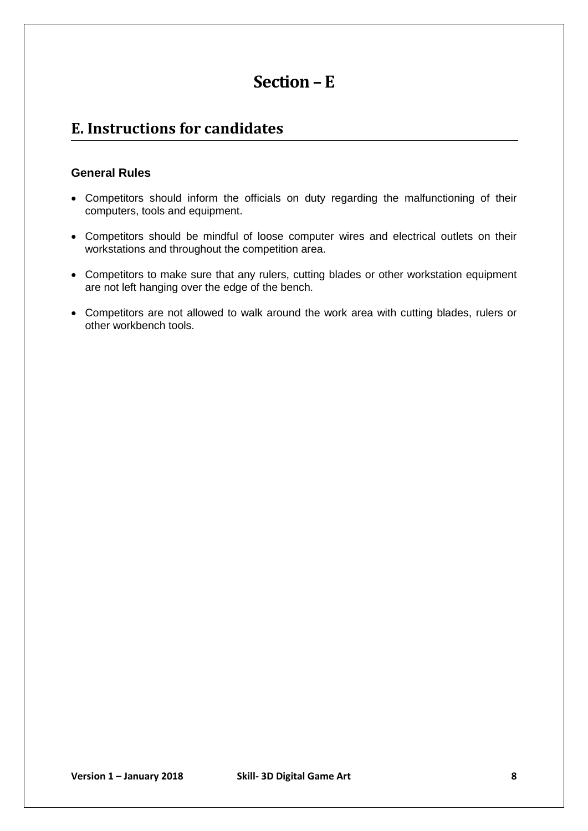## **Section – E**

## <span id="page-7-0"></span>**E. Instructions for candidates**

#### **General Rules**

- Competitors should inform the officials on duty regarding the malfunctioning of their computers, tools and equipment.
- Competitors should be mindful of loose computer wires and electrical outlets on their workstations and throughout the competition area.
- Competitors to make sure that any rulers, cutting blades or other workstation equipment are not left hanging over the edge of the bench.
- Competitors are not allowed to walk around the work area with cutting blades, rulers or other workbench tools.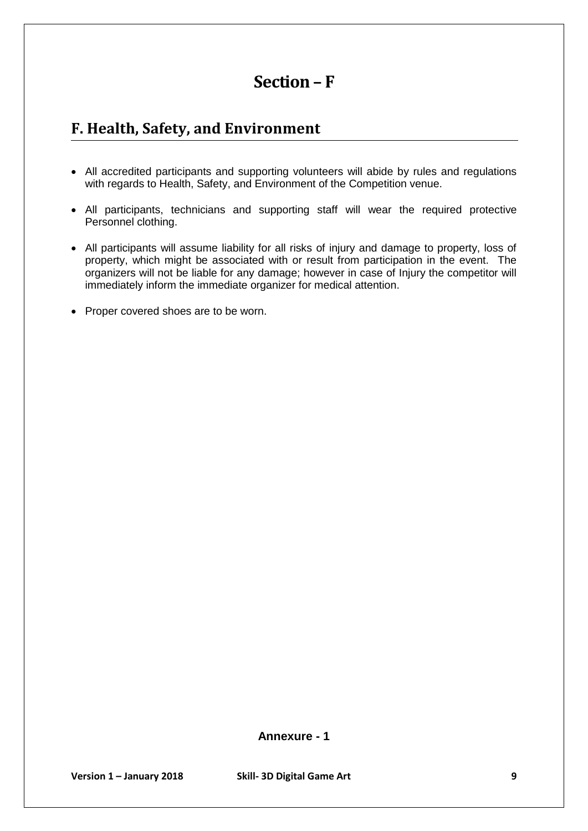## **Section – F**

## <span id="page-8-0"></span>**F. Health, Safety, and Environment**

- All accredited participants and supporting volunteers will abide by rules and regulations with regards to Health, Safety, and Environment of the Competition venue.
- All participants, technicians and supporting staff will wear the required protective Personnel clothing.
- All participants will assume liability for all risks of injury and damage to property, loss of property, which might be associated with or result from participation in the event. The organizers will not be liable for any damage; however in case of Injury the competitor will immediately inform the immediate organizer for medical attention.
- Proper covered shoes are to be worn.

**Annexure - 1**

**Version 1 – January 2018 Skill- 3D Digital Game Art 9**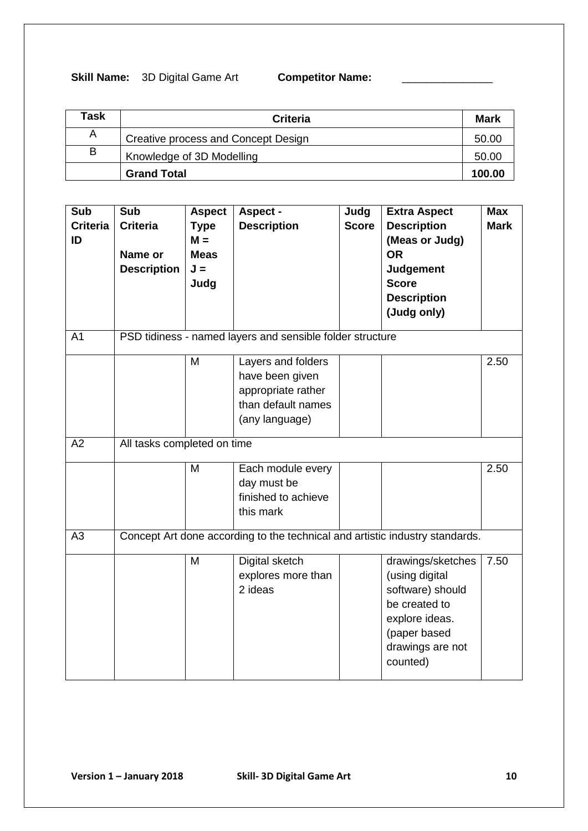#### **Skill Name:** 3D Digital Game Art **Competitor Name:**

| Task | <b>Criteria</b>                     | <b>Mark</b> |
|------|-------------------------------------|-------------|
| A    | Creative process and Concept Design | 50.00       |
| В    | Knowledge of 3D Modelling           | 50.00       |
|      | <b>Grand Total</b>                  | 100.00      |

| Sub<br><b>Criteria</b><br>ID | Sub<br><b>Criteria</b><br>Name or<br><b>Description</b>                      | <b>Aspect</b><br><b>Type</b><br>$M =$<br><b>Meas</b><br>$J =$<br>Judg | Aspect -<br><b>Description</b>                                                                      | Judg<br><b>Score</b> | <b>Extra Aspect</b><br><b>Description</b><br>(Meas or Judg)<br><b>OR</b><br><b>Judgement</b><br><b>Score</b><br><b>Description</b><br>(Judg only) | <b>Max</b><br><b>Mark</b> |
|------------------------------|------------------------------------------------------------------------------|-----------------------------------------------------------------------|-----------------------------------------------------------------------------------------------------|----------------------|---------------------------------------------------------------------------------------------------------------------------------------------------|---------------------------|
| A <sub>1</sub>               |                                                                              |                                                                       | PSD tidiness - named layers and sensible folder structure                                           |                      |                                                                                                                                                   |                           |
|                              |                                                                              | M                                                                     | Layers and folders<br>have been given<br>appropriate rather<br>than default names<br>(any language) |                      |                                                                                                                                                   | 2.50                      |
| A2                           | All tasks completed on time                                                  |                                                                       |                                                                                                     |                      |                                                                                                                                                   |                           |
|                              |                                                                              | M                                                                     | Each module every<br>day must be<br>finished to achieve<br>this mark                                |                      |                                                                                                                                                   | 2.50                      |
| A3                           | Concept Art done according to the technical and artistic industry standards. |                                                                       |                                                                                                     |                      |                                                                                                                                                   |                           |
|                              |                                                                              | M                                                                     | Digital sketch<br>explores more than<br>2 ideas                                                     |                      | drawings/sketches<br>(using digital<br>software) should<br>be created to<br>explore ideas.<br>(paper based<br>drawings are not<br>counted)        | 7.50                      |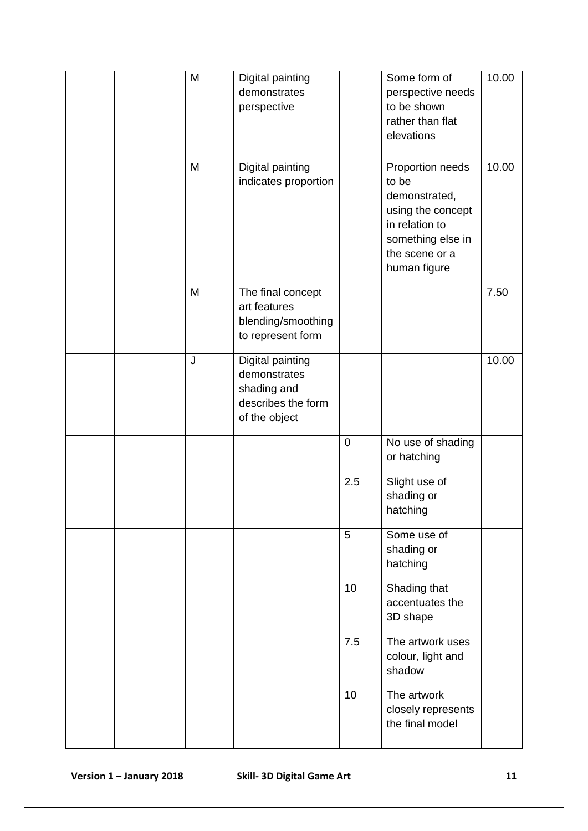| M | Digital painting<br>demonstrates<br>perspective                                        |                  | Some form of<br>perspective needs<br>to be shown<br>rather than flat<br>elevations                                                       | 10.00 |
|---|----------------------------------------------------------------------------------------|------------------|------------------------------------------------------------------------------------------------------------------------------------------|-------|
| M | Digital painting<br>indicates proportion                                               |                  | Proportion needs<br>to be<br>demonstrated,<br>using the concept<br>in relation to<br>something else in<br>the scene or a<br>human figure | 10.00 |
| M | The final concept<br>art features<br>blending/smoothing<br>to represent form           |                  |                                                                                                                                          | 7.50  |
| J | Digital painting<br>demonstrates<br>shading and<br>describes the form<br>of the object |                  |                                                                                                                                          | 10.00 |
|   |                                                                                        | $\pmb{0}$        | No use of shading<br>or hatching                                                                                                         |       |
|   |                                                                                        | 2.5              | Slight use of<br>shading or<br>hatching                                                                                                  |       |
|   |                                                                                        | 5                | Some use of<br>shading or<br>hatching                                                                                                    |       |
|   |                                                                                        | 10               | Shading that<br>accentuates the<br>3D shape                                                                                              |       |
|   |                                                                                        | $\overline{7.5}$ | The artwork uses<br>colour, light and<br>shadow                                                                                          |       |
|   |                                                                                        | 10               | The artwork<br>closely represents<br>the final model                                                                                     |       |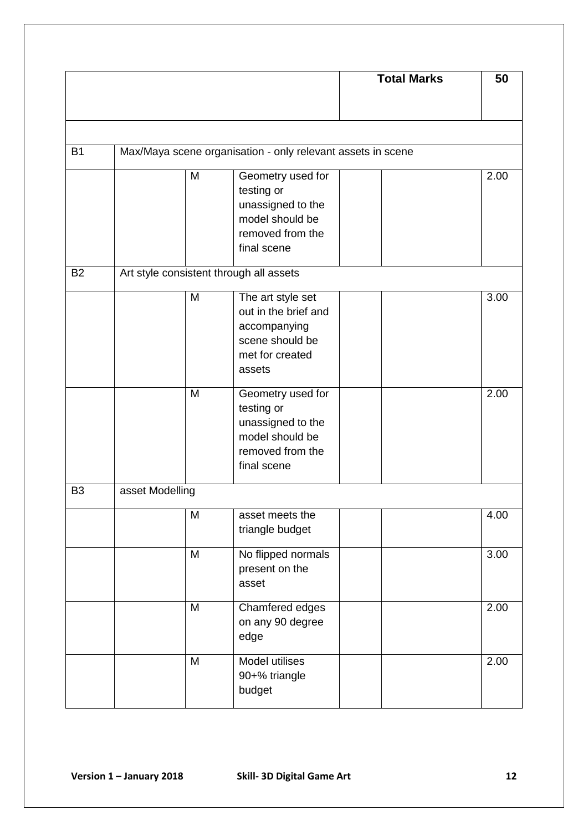|                |                 |   |                                                             | <b>Total Marks</b> | 50   |
|----------------|-----------------|---|-------------------------------------------------------------|--------------------|------|
|                |                 |   |                                                             |                    |      |
|                |                 |   |                                                             |                    |      |
| <b>B1</b>      |                 |   | Max/Maya scene organisation - only relevant assets in scene |                    |      |
|                |                 | M | Geometry used for                                           |                    | 2.00 |
|                |                 |   | testing or                                                  |                    |      |
|                |                 |   | unassigned to the<br>model should be                        |                    |      |
|                |                 |   | removed from the                                            |                    |      |
|                |                 |   | final scene                                                 |                    |      |
| <b>B2</b>      |                 |   | Art style consistent through all assets                     |                    |      |
|                |                 |   |                                                             |                    |      |
|                |                 | M | The art style set                                           |                    | 3.00 |
|                |                 |   | out in the brief and                                        |                    |      |
|                |                 |   | accompanying                                                |                    |      |
|                |                 |   | scene should be                                             |                    |      |
|                |                 |   | met for created                                             |                    |      |
|                |                 |   | assets                                                      |                    |      |
|                |                 | M | Geometry used for                                           |                    | 2.00 |
|                |                 |   | testing or                                                  |                    |      |
|                |                 |   | unassigned to the                                           |                    |      |
|                |                 |   | model should be                                             |                    |      |
|                |                 |   | removed from the                                            |                    |      |
|                |                 |   | final scene                                                 |                    |      |
| B <sub>3</sub> | asset Modelling |   |                                                             |                    |      |
|                |                 | M | asset meets the                                             |                    | 4.00 |
|                |                 |   | triangle budget                                             |                    |      |
|                |                 | M | No flipped normals                                          |                    | 3.00 |
|                |                 |   | present on the                                              |                    |      |
|                |                 |   | asset                                                       |                    |      |
|                |                 | M | Chamfered edges                                             |                    | 2.00 |
|                |                 |   | on any 90 degree                                            |                    |      |
|                |                 |   | edge                                                        |                    |      |
|                |                 | M | Model utilises                                              |                    | 2.00 |
|                |                 |   | 90+% triangle                                               |                    |      |
|                |                 |   | budget                                                      |                    |      |
|                |                 |   |                                                             |                    |      |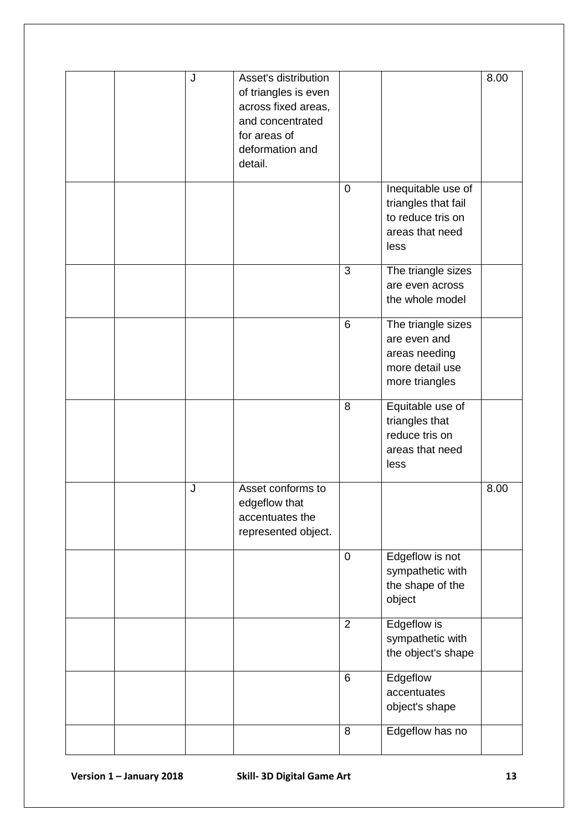|  | J | Asset's distribution<br>of triangles is even<br>across fixed areas,<br>and concentrated<br>for areas of<br>deformation and<br>detail. |                |                                                                                           | 8.00 |
|--|---|---------------------------------------------------------------------------------------------------------------------------------------|----------------|-------------------------------------------------------------------------------------------|------|
|  |   |                                                                                                                                       | $\pmb{0}$      | Inequitable use of<br>triangles that fail<br>to reduce tris on<br>areas that need<br>less |      |
|  |   |                                                                                                                                       | 3              | The triangle sizes<br>are even across<br>the whole model                                  |      |
|  |   |                                                                                                                                       | 6              | The triangle sizes<br>are even and<br>areas needing<br>more detail use<br>more triangles  |      |
|  |   |                                                                                                                                       | 8              | Equitable use of<br>triangles that<br>reduce tris on<br>areas that need<br>less           |      |
|  | J | Asset conforms to<br>edgeflow that<br>accentuates the<br>represented object.                                                          |                |                                                                                           | 8.00 |
|  |   |                                                                                                                                       | $\pmb{0}$      | Edgeflow is not<br>sympathetic with<br>the shape of the<br>object                         |      |
|  |   |                                                                                                                                       | $\overline{2}$ | Edgeflow is<br>sympathetic with<br>the object's shape                                     |      |
|  |   |                                                                                                                                       | 6              | Edgeflow<br>accentuates<br>object's shape                                                 |      |
|  |   |                                                                                                                                       | 8              | Edgeflow has no                                                                           |      |